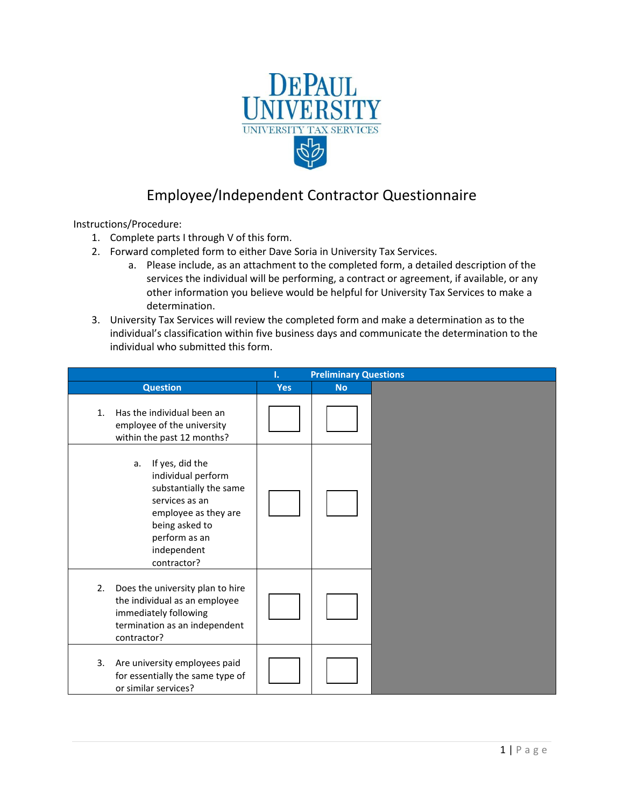

## Employee/Independent Contractor Questionnaire

Instructions/Procedure:

- 1. Complete parts I through V of this form.
- 2. Forward completed form to either Dave Soria in University Tax Services.
	- a. Please include, as an attachment to the completed form, a detailed description of the services the individual will be performing, a contract or agreement, if available, or any other information you believe would be helpful for University Tax Services to make a determination.
- 3. University Tax Services will review the completed form and make a determination as to the individual's classification within five business days and communicate the determination to the individual who submitted this form.

|                                                                                                                                                                                  | ı.         | <b>Preliminary Questions</b> |  |
|----------------------------------------------------------------------------------------------------------------------------------------------------------------------------------|------------|------------------------------|--|
| <b>Question</b>                                                                                                                                                                  | <b>Yes</b> | <b>No</b>                    |  |
| Has the individual been an<br>$\mathbf{1}$ .<br>employee of the university<br>within the past 12 months?                                                                         |            |                              |  |
| If yes, did the<br>a.<br>individual perform<br>substantially the same<br>services as an<br>employee as they are<br>being asked to<br>perform as an<br>independent<br>contractor? |            |                              |  |
| Does the university plan to hire<br>2.<br>the individual as an employee<br>immediately following<br>termination as an independent<br>contractor?                                 |            |                              |  |
| Are university employees paid<br>3.<br>for essentially the same type of<br>or similar services?                                                                                  |            |                              |  |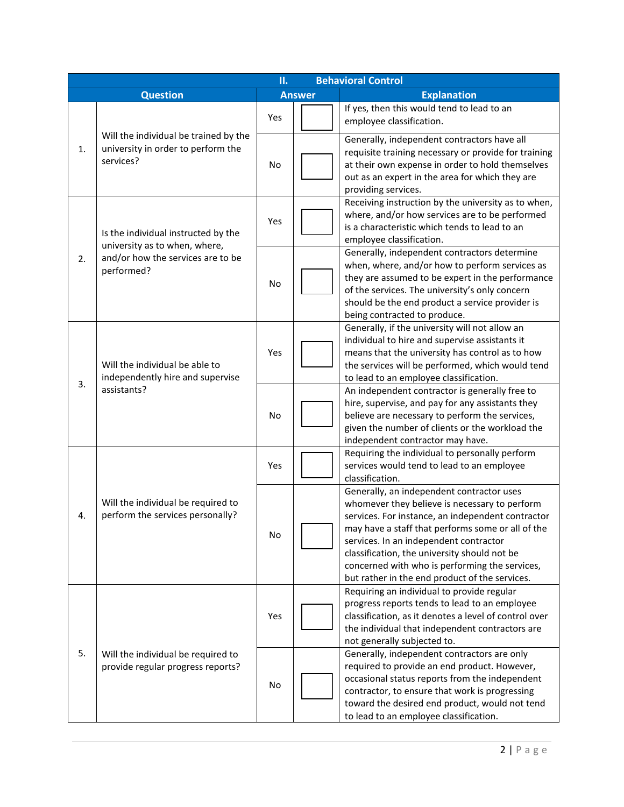|                                                                                         | П.<br><b>Behavioral Control</b>                                                          |     |                                                                                                                                                                                                                                                   |                                                                                                                                                                                                                                                                                                                                                                                                    |  |
|-----------------------------------------------------------------------------------------|------------------------------------------------------------------------------------------|-----|---------------------------------------------------------------------------------------------------------------------------------------------------------------------------------------------------------------------------------------------------|----------------------------------------------------------------------------------------------------------------------------------------------------------------------------------------------------------------------------------------------------------------------------------------------------------------------------------------------------------------------------------------------------|--|
| <b>Question</b><br><b>Answer</b>                                                        |                                                                                          |     | <b>Explanation</b>                                                                                                                                                                                                                                |                                                                                                                                                                                                                                                                                                                                                                                                    |  |
|                                                                                         |                                                                                          | Yes |                                                                                                                                                                                                                                                   | If yes, then this would tend to lead to an<br>employee classification.                                                                                                                                                                                                                                                                                                                             |  |
| 1.                                                                                      | Will the individual be trained by the<br>university in order to perform the<br>services? | No  |                                                                                                                                                                                                                                                   | Generally, independent contractors have all<br>requisite training necessary or provide for training<br>at their own expense in order to hold themselves<br>out as an expert in the area for which they are<br>providing services.                                                                                                                                                                  |  |
| Is the individual instructed by the                                                     | Yes                                                                                      |     | Receiving instruction by the university as to when,<br>where, and/or how services are to be performed<br>is a characteristic which tends to lead to an<br>employee classification.                                                                |                                                                                                                                                                                                                                                                                                                                                                                                    |  |
| 2.                                                                                      | university as to when, where,<br>and/or how the services are to be<br>performed?         | No  |                                                                                                                                                                                                                                                   | Generally, independent contractors determine<br>when, where, and/or how to perform services as<br>they are assumed to be expert in the performance<br>of the services. The university's only concern<br>should be the end product a service provider is<br>being contracted to produce.                                                                                                            |  |
| Will the individual be able to<br>independently hire and supervise<br>3.<br>assistants? | Yes                                                                                      |     | Generally, if the university will not allow an<br>individual to hire and supervise assistants it<br>means that the university has control as to how<br>the services will be performed, which would tend<br>to lead to an employee classification. |                                                                                                                                                                                                                                                                                                                                                                                                    |  |
|                                                                                         | <b>No</b>                                                                                |     | An independent contractor is generally free to<br>hire, supervise, and pay for any assistants they<br>believe are necessary to perform the services,<br>given the number of clients or the workload the<br>independent contractor may have.       |                                                                                                                                                                                                                                                                                                                                                                                                    |  |
|                                                                                         |                                                                                          | Yes |                                                                                                                                                                                                                                                   | Requiring the individual to personally perform<br>services would tend to lead to an employee<br>classification.                                                                                                                                                                                                                                                                                    |  |
| 4.                                                                                      | Will the individual be required to<br>perform the services personally?                   | No  |                                                                                                                                                                                                                                                   | Generally, an independent contractor uses<br>whomever they believe is necessary to perform<br>services. For instance, an independent contractor<br>may have a staff that performs some or all of the<br>services. In an independent contractor<br>classification, the university should not be<br>concerned with who is performing the services,<br>but rather in the end product of the services. |  |
|                                                                                         |                                                                                          | Yes |                                                                                                                                                                                                                                                   | Requiring an individual to provide regular<br>progress reports tends to lead to an employee<br>classification, as it denotes a level of control over<br>the individual that independent contractors are<br>not generally subjected to.                                                                                                                                                             |  |
| 5.                                                                                      | Will the individual be required to<br>provide regular progress reports?                  | No  |                                                                                                                                                                                                                                                   | Generally, independent contractors are only<br>required to provide an end product. However,<br>occasional status reports from the independent<br>contractor, to ensure that work is progressing<br>toward the desired end product, would not tend<br>to lead to an employee classification.                                                                                                        |  |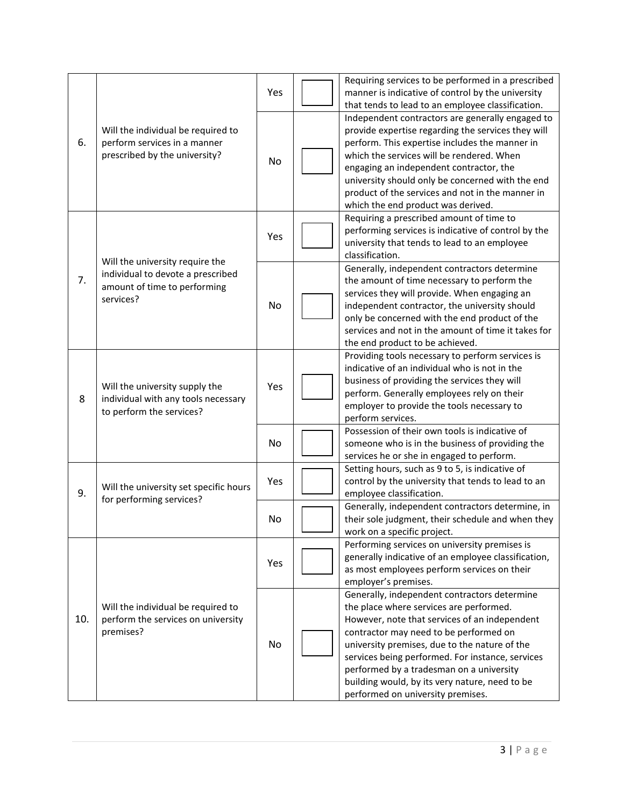|     |                                                                                                     | Yes | Requiring services to be performed in a prescribed<br>manner is indicative of control by the university<br>that tends to lead to an employee classification.                                                                                                                                                                                                                                                               |
|-----|-----------------------------------------------------------------------------------------------------|-----|----------------------------------------------------------------------------------------------------------------------------------------------------------------------------------------------------------------------------------------------------------------------------------------------------------------------------------------------------------------------------------------------------------------------------|
| 6.  | Will the individual be required to<br>perform services in a manner<br>prescribed by the university? | No  | Independent contractors are generally engaged to<br>provide expertise regarding the services they will<br>perform. This expertise includes the manner in<br>which the services will be rendered. When<br>engaging an independent contractor, the<br>university should only be concerned with the end<br>product of the services and not in the manner in<br>which the end product was derived.                             |
|     | Will the university require the                                                                     | Yes | Requiring a prescribed amount of time to<br>performing services is indicative of control by the<br>university that tends to lead to an employee<br>classification.                                                                                                                                                                                                                                                         |
| 7.  | individual to devote a prescribed<br>amount of time to performing<br>services?                      | No  | Generally, independent contractors determine<br>the amount of time necessary to perform the<br>services they will provide. When engaging an<br>independent contractor, the university should<br>only be concerned with the end product of the<br>services and not in the amount of time it takes for<br>the end product to be achieved.                                                                                    |
| 8   | Will the university supply the<br>individual with any tools necessary<br>to perform the services?   | Yes | Providing tools necessary to perform services is<br>indicative of an individual who is not in the<br>business of providing the services they will<br>perform. Generally employees rely on their<br>employer to provide the tools necessary to<br>perform services.                                                                                                                                                         |
|     |                                                                                                     | No  | Possession of their own tools is indicative of<br>someone who is in the business of providing the<br>services he or she in engaged to perform.                                                                                                                                                                                                                                                                             |
| 9.  | Will the university set specific hours<br>for performing services?                                  | Yes | Setting hours, such as 9 to 5, is indicative of<br>control by the university that tends to lead to an<br>employee classification.                                                                                                                                                                                                                                                                                          |
|     |                                                                                                     | No  | Generally, independent contractors determine, in<br>their sole judgment, their schedule and when they<br>work on a specific project.                                                                                                                                                                                                                                                                                       |
|     |                                                                                                     | Yes | Performing services on university premises is<br>generally indicative of an employee classification,<br>as most employees perform services on their<br>employer's premises.                                                                                                                                                                                                                                                |
| 10. | Will the individual be required to<br>perform the services on university<br>premises?               | No  | Generally, independent contractors determine<br>the place where services are performed.<br>However, note that services of an independent<br>contractor may need to be performed on<br>university premises, due to the nature of the<br>services being performed. For instance, services<br>performed by a tradesman on a university<br>building would, by its very nature, need to be<br>performed on university premises. |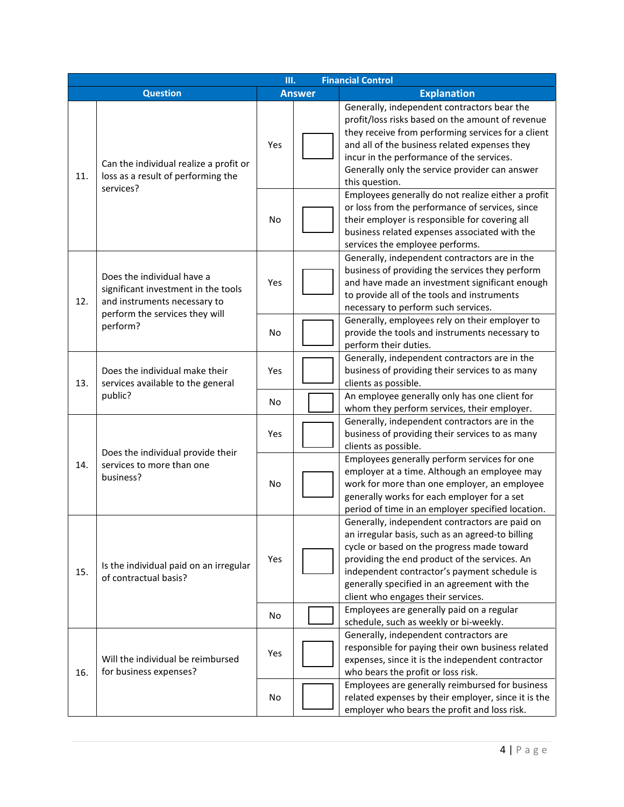|                                  |                                                                                                                                     | <b>Financial Control</b> |                                                                                                                                                                                                                                             |                                                                                                                                                                                                                                                                                                                                         |
|----------------------------------|-------------------------------------------------------------------------------------------------------------------------------------|--------------------------|---------------------------------------------------------------------------------------------------------------------------------------------------------------------------------------------------------------------------------------------|-----------------------------------------------------------------------------------------------------------------------------------------------------------------------------------------------------------------------------------------------------------------------------------------------------------------------------------------|
| <b>Question</b><br><b>Answer</b> |                                                                                                                                     | <b>Explanation</b>       |                                                                                                                                                                                                                                             |                                                                                                                                                                                                                                                                                                                                         |
| 11.                              | Can the individual realize a profit or<br>loss as a result of performing the<br>services?                                           | Yes                      |                                                                                                                                                                                                                                             | Generally, independent contractors bear the<br>profit/loss risks based on the amount of revenue<br>they receive from performing services for a client<br>and all of the business related expenses they<br>incur in the performance of the services.<br>Generally only the service provider can answer<br>this question.                 |
|                                  | No                                                                                                                                  |                          | Employees generally do not realize either a profit<br>or loss from the performance of services, since<br>their employer is responsible for covering all<br>business related expenses associated with the<br>services the employee performs. |                                                                                                                                                                                                                                                                                                                                         |
| 12.                              | Does the individual have a<br>significant investment in the tools<br>and instruments necessary to<br>perform the services they will | Yes                      |                                                                                                                                                                                                                                             | Generally, independent contractors are in the<br>business of providing the services they perform<br>and have made an investment significant enough<br>to provide all of the tools and instruments<br>necessary to perform such services.<br>Generally, employees rely on their employer to                                              |
| perform?                         |                                                                                                                                     | No                       |                                                                                                                                                                                                                                             | provide the tools and instruments necessary to<br>perform their duties.                                                                                                                                                                                                                                                                 |
| 13.                              | Does the individual make their<br>services available to the general<br>public?                                                      | Yes                      |                                                                                                                                                                                                                                             | Generally, independent contractors are in the<br>business of providing their services to as many<br>clients as possible.                                                                                                                                                                                                                |
|                                  |                                                                                                                                     | No.                      |                                                                                                                                                                                                                                             | An employee generally only has one client for<br>whom they perform services, their employer.                                                                                                                                                                                                                                            |
|                                  | Does the individual provide their                                                                                                   | Yes                      |                                                                                                                                                                                                                                             | Generally, independent contractors are in the<br>business of providing their services to as many<br>clients as possible.                                                                                                                                                                                                                |
| 14.                              | services to more than one<br>business?                                                                                              | No                       |                                                                                                                                                                                                                                             | Employees generally perform services for one<br>employer at a time. Although an employee may<br>work for more than one employer, an employee<br>generally works for each employer for a set<br>period of time in an employer specified location.                                                                                        |
| 15.                              | Is the individual paid on an irregular<br>of contractual basis?                                                                     | Yes                      |                                                                                                                                                                                                                                             | Generally, independent contractors are paid on<br>an irregular basis, such as an agreed-to billing<br>cycle or based on the progress made toward<br>providing the end product of the services. An<br>independent contractor's payment schedule is<br>generally specified in an agreement with the<br>client who engages their services. |
|                                  |                                                                                                                                     | No                       |                                                                                                                                                                                                                                             | Employees are generally paid on a regular<br>schedule, such as weekly or bi-weekly.                                                                                                                                                                                                                                                     |
| 16.                              | Will the individual be reimbursed<br>for business expenses?                                                                         | Yes                      |                                                                                                                                                                                                                                             | Generally, independent contractors are<br>responsible for paying their own business related<br>expenses, since it is the independent contractor<br>who bears the profit or loss risk.                                                                                                                                                   |
|                                  |                                                                                                                                     | No                       |                                                                                                                                                                                                                                             | Employees are generally reimbursed for business<br>related expenses by their employer, since it is the<br>employer who bears the profit and loss risk.                                                                                                                                                                                  |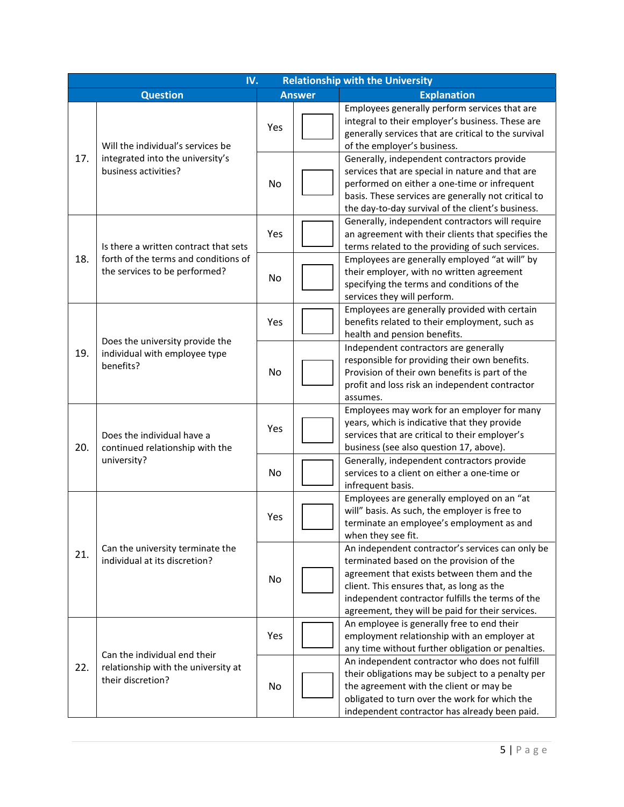|                                                                                     | <b>Relationship with the University</b><br>IV.                        |                    |                                                                                                                                                                                                                                                                                                 |                                                                                                                                                                                                                                                  |  |
|-------------------------------------------------------------------------------------|-----------------------------------------------------------------------|--------------------|-------------------------------------------------------------------------------------------------------------------------------------------------------------------------------------------------------------------------------------------------------------------------------------------------|--------------------------------------------------------------------------------------------------------------------------------------------------------------------------------------------------------------------------------------------------|--|
| <b>Question</b><br><b>Answer</b>                                                    |                                                                       | <b>Explanation</b> |                                                                                                                                                                                                                                                                                                 |                                                                                                                                                                                                                                                  |  |
| 17.                                                                                 | Will the individual's services be<br>integrated into the university's | Yes                |                                                                                                                                                                                                                                                                                                 | Employees generally perform services that are<br>integral to their employer's business. These are<br>generally services that are critical to the survival<br>of the employer's business.<br>Generally, independent contractors provide           |  |
| business activities?                                                                | No                                                                    |                    | services that are special in nature and that are<br>performed on either a one-time or infrequent<br>basis. These services are generally not critical to<br>the day-to-day survival of the client's business.                                                                                    |                                                                                                                                                                                                                                                  |  |
|                                                                                     | Is there a written contract that sets                                 | Yes                |                                                                                                                                                                                                                                                                                                 | Generally, independent contractors will require<br>an agreement with their clients that specifies the<br>terms related to the providing of such services.                                                                                        |  |
| 18.                                                                                 | forth of the terms and conditions of<br>the services to be performed? | No                 |                                                                                                                                                                                                                                                                                                 | Employees are generally employed "at will" by<br>their employer, with no written agreement<br>specifying the terms and conditions of the<br>services they will perform.                                                                          |  |
|                                                                                     | Does the university provide the                                       | Yes                |                                                                                                                                                                                                                                                                                                 | Employees are generally provided with certain<br>benefits related to their employment, such as<br>health and pension benefits.                                                                                                                   |  |
| 19.<br>individual with employee type<br>benefits?                                   | No                                                                    |                    | Independent contractors are generally<br>responsible for providing their own benefits.<br>Provision of their own benefits is part of the<br>profit and loss risk an independent contractor<br>assumes.                                                                                          |                                                                                                                                                                                                                                                  |  |
| Does the individual have a<br>20.<br>continued relationship with the<br>university? | Yes                                                                   |                    | Employees may work for an employer for many<br>years, which is indicative that they provide<br>services that are critical to their employer's<br>business (see also question 17, above).                                                                                                        |                                                                                                                                                                                                                                                  |  |
|                                                                                     | No                                                                    |                    | Generally, independent contractors provide<br>services to a client on either a one-time or<br>infrequent basis.                                                                                                                                                                                 |                                                                                                                                                                                                                                                  |  |
|                                                                                     |                                                                       | Yes                |                                                                                                                                                                                                                                                                                                 | Employees are generally employed on an "at<br>will" basis. As such, the employer is free to<br>terminate an employee's employment as and<br>when they see fit.                                                                                   |  |
| Can the university terminate the<br>21.<br>individual at its discretion?            | No                                                                    |                    | An independent contractor's services can only be<br>terminated based on the provision of the<br>agreement that exists between them and the<br>client. This ensures that, as long as the<br>independent contractor fulfills the terms of the<br>agreement, they will be paid for their services. |                                                                                                                                                                                                                                                  |  |
|                                                                                     | Can the individual end their                                          | Yes                |                                                                                                                                                                                                                                                                                                 | An employee is generally free to end their<br>employment relationship with an employer at<br>any time without further obligation or penalties.                                                                                                   |  |
| 22.                                                                                 | relationship with the university at<br>their discretion?              | No                 |                                                                                                                                                                                                                                                                                                 | An independent contractor who does not fulfill<br>their obligations may be subject to a penalty per<br>the agreement with the client or may be<br>obligated to turn over the work for which the<br>independent contractor has already been paid. |  |